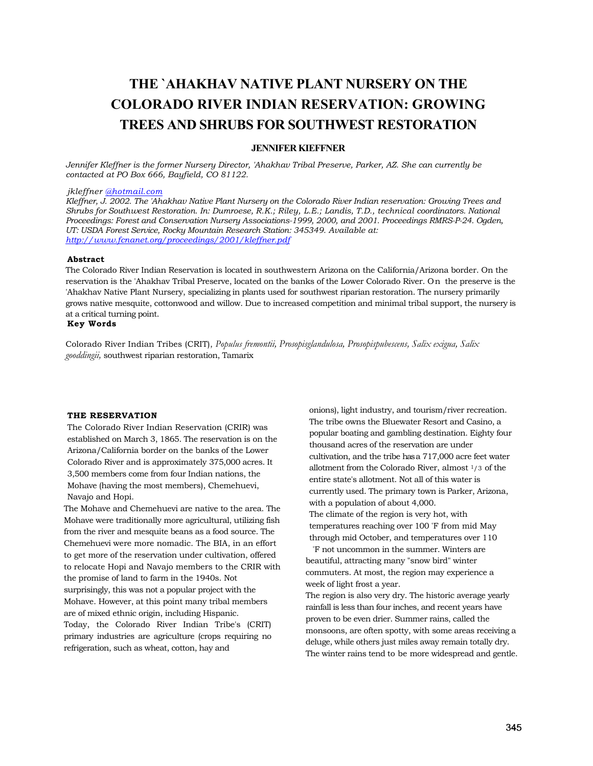# **THE `AHAKHAV NATIVE PLANT NURSERY ON THE COLORADO RIVER INDIAN RESERVATION: GROWING TREES AND SHRUBS FOR SOUTHWEST RESTORATION**

#### **JENNIFER KIEFFNER**

*Jennifer Kleffner is the former Nursery Director, 'Ahakhav Tribal Preserve, Parker, AZ. She can currently be contacted at PO Box 666, Bayfield, CO 81122.* 

*jkleffner [@hotmail.com](http://ahotmail.com/)*

*Kleffner, J. 2002. The 'Ahakhav Native Plant Nursery on the Colorado River Indian reservation: Growing Trees and Shrubs for Southwest Restoration. In: Dumroese, R.K.; Riley, L.E.; Landis, T.D., technical coordinators. National Proceedings: Forest and Conservation Nursery Associations-1999, 2000, and 2001. Proceedings RMRS-P-24. Ogden, UT: USDA Forest Service, Rocky Mountain Research Station: 345349. Available at: <http://www.fcnanet.org/proceedings/2001/kleffner.pdf>*

#### **Abstract**

The Colorado River Indian Reservation is located in southwestern Arizona on the California/Arizona border. On the reservation is the 'Ahakhav Tribal Preserve, located on the banks of the Lower Colorado River. On the preserve is the 'Ahakhav Native Plant Nursery, specializing in plants used for southwest riparian restoration. The nursery primarily grows native mesquite, cottonwood and willow. Due to increased competition and minimal tribal support, the nursery is at a critical turning point.

#### **Key Words**

Colorado River Indian Tribes (CRIT), *Populus fremontii, Prosopisglandulosa, Prosopispubescens, Salix exigua, Salix gooddingii,* southwest riparian restoration, Tamarix

#### **THE RESERVATION**

The Colorado River Indian Reservation (CRIR) was established on March 3, 1865. The reservation is on the Arizona/California border on the banks of the Lower Colorado River and is approximately 375,000 acres. It 3,500 members come from four Indian nations, the Mohave (having the most members), Chemehuevi, Navajo and Hopi.

The Mohave and Chemehuevi are native to the area. The Mohave were traditionally more agricultural, utilizing fish from the river and mesquite beans as a food source. The Chemehuevi were more nomadic. The BIA, in an effort to get more of the reservation under cultivation, offered to relocate Hopi and Navajo members to the CRIR with the promise of land to farm in the 1940s. Not surprisingly, this was not a popular project with the Mohave. However, at this point many tribal members are of mixed ethnic origin, including Hispanic. Today, the Colorado River Indian Tribe's (CRIT) primary industries are agriculture (crops requiring no refrigeration, such as wheat, cotton, hay and

onions), light industry, and tourism/river recreation. The tribe owns the Bluewater Resort and Casino, a popular boating and gambling destination. Eighty four thousand acres of the reservation are under cultivation, and the tribe hasa 717,000 acre feet water allotment from the Colorado River, almost 1/3 of the entire state's allotment. Not all of this water is currently used. The primary town is Parker, Arizona, with a population of about 4,000. The climate of the region is very hot, with temperatures reaching over 100 °F from mid May through mid October, and temperatures over 110

°F not uncommon in the summer. Winters are beautiful, attracting many "snow bird" winter commuters. At most, the region may experience a week of light frost a year.

The region is also very dry. The historic average yearly rainfall is less than four inches, and recent years have proven to be even drier. Summer rains, called the monsoons, are often spotty, with some areas receiving a deluge, while others just miles away remain totally dry. The winter rains tend to be more widespread and gentle.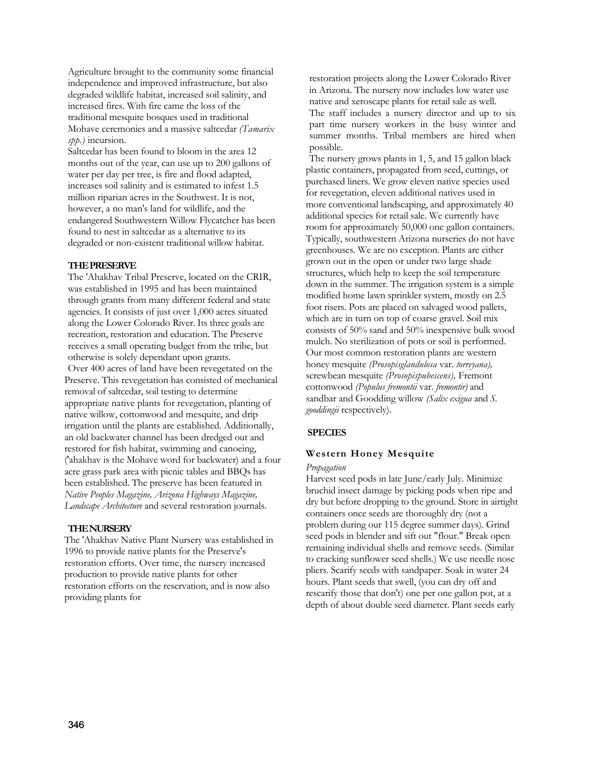Agriculture brought to the community some financial independence and improved infrastructure, but also degraded wildlife habitat, increased soil salinity, and increased fires. With fire came the loss of the traditional mesquite bosques used in traditional Mohave ceremonies and a massive saltcedar *(Tamarix spp.)* incursion.

Saltcedar has been found to bloom in the area 12 months out of the year, can use up to 200 gallons of water per day per tree, is fire and flood adapted, increases soil salinity and is estimated to infest 1.5 million riparian acres in the Southwest. It is not, however, a no man's land for wildlife, and the endangered Southwestern Willow Flycatcher has been found to nest in saltcedar as a alternative to its degraded or non-existent traditional willow habitat.

## **THE PRESERVE**

The 'Ahakhav Tribal Preserve, located on the CRIR, was established in 1995 and has been maintained through grants from many different federal and state agencies. It consists of just over 1,000 acres situated along the Lower Colorado River. Its three goals are recreation, restoration and education. The Preserve receives a small operating budget from the tribe, but otherwise is solely dependant upon grants.

Over 400 acres of land have been revegetated on the Preserve. This revegetation has consisted of mechanical removal of saltcedar, soil testing to determine appropriate native plants for revegetation, planting of native willow, cottonwood and mesquite, and drip irrigation until the plants are established. Additionally, an old backwater channel has been dredged out and restored for fish habitat, swimming and canoeing, ('ahakhav is the Mohave word for backwater) and a four acre grass park area with picnic tables and BBQs has been established. The preserve has been featured in *Native Peoples Magazine, Arizona Highways Magazine, Landscape Architecture* and several restoration journals.

#### **THE NURSERY**

The 'Ahakhav Native Plant Nursery was established in 1996 to provide native plants for the Preserve's restoration efforts. Over time, the nursery increased production to provide native plants for other restoration efforts on the reservation, and is now also providing plants for

restoration projects along the Lower Colorado River in Arizona. The nursery now includes low water use native and xeroscape plants for retail sale as well. The staff includes a nursery director and up to six part time nursery workers in the busy winter and summer months. Tribal members are hired when possible.

The nursery grows plants in 1, 5, and 15 gallon black plastic containers, propagated from seed, cuttings, or purchased liners. We grow eleven native species used for revegetation, eleven additional natives used in more conventional landscaping, and approximately 40 additional species for retail sale. We currently have room for approximately 50,000 one gallon containers. Typically, southwestern Arizona nurseries do not have greenhouses. We are no exception. Plants are either grown out in the open or under two large shade structures, which help to keep the soil temperature down in the summer. The irrigation system is a simple modified home lawn sprinkler system, mostly on 2.5 foot risers. Pots are placed on salvaged wood pallets, which are in turn on top of coarse gravel. Soil mix consists of 50% sand and 50% inexpensive bulk wood mulch. No sterilization of pots or soil is performed. Our most common restoration plants are western honey mesquite *(Prosopisglandulosa* var. *torreyana),*  screwbean mesquite *(Prosopispubescens),* Fremont cottonwood *(Populus fremontii* var. *fremontir)* and sandbar and Goodding willow *(Salix exigua* and *S. gooddingii* respectively).

#### **SPECIES**

## **Western Honey Mesquite**

## *Propagation*

Harvest seed pods in late June/early July. Minimize bruchid insect damage by picking pods when ripe and dry but before dropping to the ground. Store in airtight containers once seeds are thoroughly dry (not a problem during our 115 degree summer days). Grind seed pods in blender and sift out "flour." Break open remaining individual shells and remove seeds. (Similar to cracking sunflower seed shells.) We use needle nose pliers. Scarify seeds with sandpaper. Soak in water 24 hours. Plant seeds that swell, (you can dry off and rescarify those that don't) one per one gallon pot, at a depth of about double seed diameter. Plant seeds early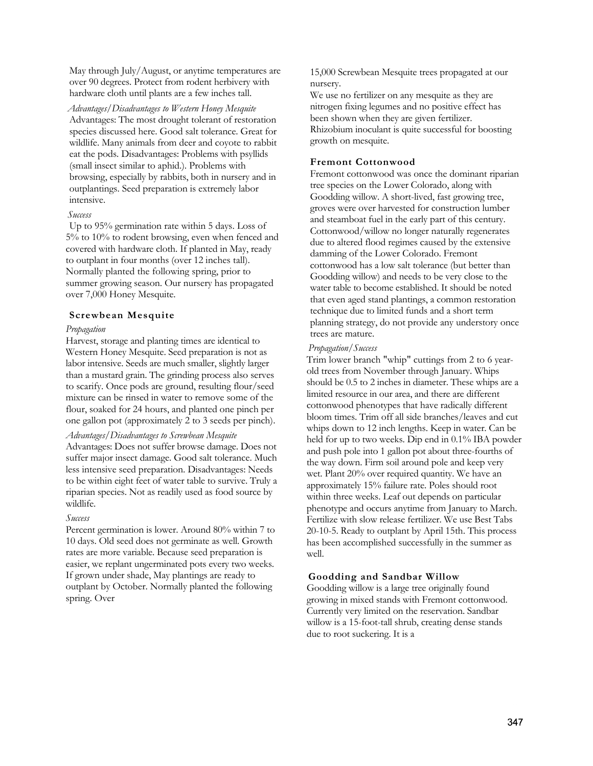May through July/August, or anytime temperatures are over 90 degrees. Protect from rodent herbivery with hardware cloth until plants are a few inches tall.

*Advantages/Disadvantages to Western Honey Mesquite*  Advantages: The most drought tolerant of restoration species discussed here. Good salt tolerance. Great for wildlife. Many animals from deer and coyote to rabbit eat the pods. Disadvantages: Problems with psyllids (small insect similar to aphid.). Problems with browsing, especially by rabbits, both in nursery and in outplantings. Seed preparation is extremely labor intensive.

#### *Success*

Up to 95% germination rate within 5 days. Loss of 5% to 10% to rodent browsing, even when fenced and covered with hardware cloth. If planted in May, ready to outplant in four months (over 12 inches tall). Normally planted the following spring, prior to summer growing season. Our nursery has propagated over 7,000 Honey Mesquite.

## **Screwbean Mesquite**

## *Propagation*

Harvest, storage and planting times are identical to Western Honey Mesquite. Seed preparation is not as labor intensive. Seeds are much smaller, slightly larger than a mustard grain. The grinding process also serves to scarify. Once pods are ground, resulting flour/seed mixture can be rinsed in water to remove some of the flour, soaked for 24 hours, and planted one pinch per one gallon pot (approximately 2 to 3 seeds per pinch).

## *Advantages/Disadvantages to Screwbean Mesquite*

Advantages: Does not suffer browse damage. Does not suffer major insect damage. Good salt tolerance. Much less intensive seed preparation. Disadvantages: Needs to be within eight feet of water table to survive. Truly a riparian species. Not as readily used as food source by wildlife.

## *Success*

Percent germination is lower. Around 80% within 7 to 10 days. Old seed does not germinate as well. Growth rates are more variable. Because seed preparation is easier, we replant ungerminated pots every two weeks. If grown under shade, May plantings are ready to outplant by October. Normally planted the following spring. Over

15,000 Screwbean Mesquite trees propagated at our nursery.

We use no fertilizer on any mesquite as they are nitrogen fixing legumes and no positive effect has been shown when they are given fertilizer. Rhizobium inoculant is quite successful for boosting growth on mesquite.

# **Fremont Cottonwood**

Fremont cottonwood was once the dominant riparian tree species on the Lower Colorado, along with Goodding willow. A short-lived, fast growing tree, groves were over harvested for construction lumber and steamboat fuel in the early part of this century. Cottonwood/willow no longer naturally regenerates due to altered flood regimes caused by the extensive damming of the Lower Colorado. Fremont cottonwood has a low salt tolerance (but better than Goodding willow) and needs to be very close to the water table to become established. It should be noted that even aged stand plantings, a common restoration technique due to limited funds and a short term planning strategy, do not provide any understory once trees are mature.

#### *Propagation/Success*

Trim lower branch "whip" cuttings from 2 to 6 yearold trees from November through January. Whips should be 0.5 to 2 inches in diameter. These whips are a limited resource in our area, and there are different cottonwood phenotypes that have radically different bloom times. Trim off all side branches/leaves and cut whips down to 12 inch lengths. Keep in water. Can be held for up to two weeks. Dip end in 0.1% IBA powder and push pole into 1 gallon pot about three-fourths of the way down. Firm soil around pole and keep very wet. Plant 20% over required quantity. We have an approximately 15% failure rate. Poles should root within three weeks. Leaf out depends on particular phenotype and occurs anytime from January to March. Fertilize with slow release fertilizer. We use Best Tabs 20-10-5. Ready to outplant by April 15th. This process has been accomplished successfully in the summer as well.

## **Goodding and Sandbar Willow**

Goodding willow is a large tree originally found growing in mixed stands with Fremont cottonwood. Currently very limited on the reservation. Sandbar willow is a 15-foot-tall shrub, creating dense stands due to root suckering. It is a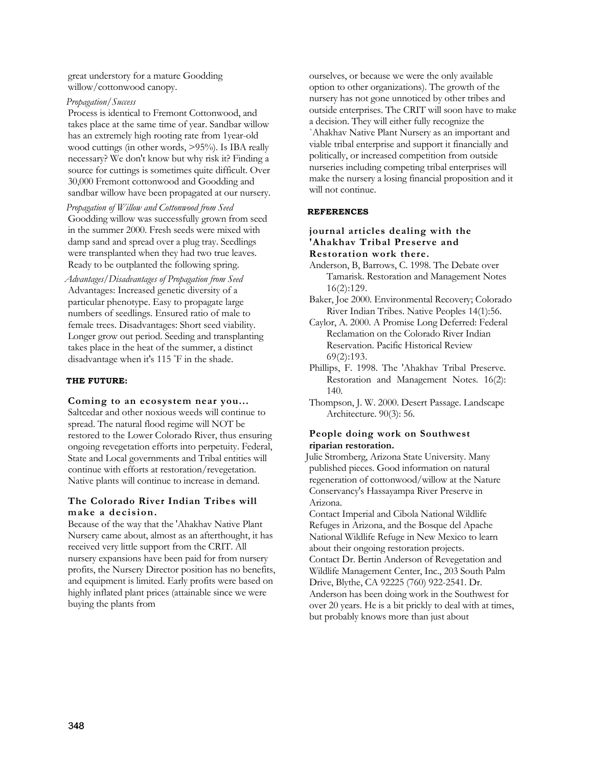great understory for a mature Goodding willow/cottonwood canopy.

# *Propagation/Success*

Process is identical to Fremont Cottonwood, and takes place at the same time of year. Sandbar willow has an extremely high rooting rate from 1year-old wood cuttings (in other words, >95%). Is IBA really necessary? We don't know but why risk it? Finding a source for cuttings is sometimes quite difficult. Over 30,000 Fremont cottonwood and Goodding and sandbar willow have been propagated at our nursery.

*Propagation of Willow and Cottonwood from Seed*  Goodding willow was successfully grown from seed in the summer 2000. Fresh seeds were mixed with damp sand and spread over a plug tray. Seedlings were transplanted when they had two true leaves. Ready to be outplanted the following spring.

*Advantages/Disadvantages of Propagation from Seed* Advantages: Increased genetic diversity of a particular phenotype. Easy to propagate large numbers of seedlings. Ensured ratio of male to female trees. Disadvantages: Short seed viability. Longer grow out period. Seeding and transplanting takes place in the heat of the summer, a distinct disadvantage when it's 115 °F in the shade.

## **THE FUTURE:**

# **Coming to an ecosystem near you...**

Saltcedar and other noxious weeds will continue to spread. The natural flood regime will NOT be restored to the Lower Colorado River, thus ensuring ongoing revegetation efforts into perpetuity. Federal, State and Local governments and Tribal entities will continue with efforts at restoration/revegetation. Native plants will continue to increase in demand.

# **The Colorado River Indian Tribes will make a decision.**

Because of the way that the 'Ahakhav Native Plant Nursery came about, almost as an afterthought, it has received very little support from the CRIT. All nursery expansions have been paid for from nursery profits, the Nursery Director position has no benefits, and equipment is limited. Early profits were based on highly inflated plant prices (attainable since we were buying the plants from

ourselves, or because we were the only available option to other organizations). The growth of the nursery has not gone unnoticed by other tribes and outside enterprises. The CRIT will soon have to make a decision. They will either fully recognize the `Ahakhav Native Plant Nursery as an important and viable tribal enterprise and support it financially and politically, or increased competition from outside nurseries including competing tribal enterprises will make the nursery a losing financial proposition and it will not continue.

# **REFERENCES**

# **journal articles dealing with the 'Ahakhav Tribal Preserve and Restoration work there.**

- Anderson, B, Barrows, C. 1998. The Debate over Tamarisk. Restoration and Management Notes 16(2):129.
- Baker, Joe 2000. Environmental Recovery; Colorado River Indian Tribes. Native Peoples 14(1):56.
- Caylor, A. 2000. A Promise Long Deferred: Federal Reclamation on the Colorado River Indian Reservation. Pacific Historical Review 69(2):193.
- Phillips, F. 1998. The 'Ahakhav Tribal Preserve. Restoration and Management Notes. 16(2): 140.
- Thompson, J. W. 2000. Desert Passage. Landscape Architecture. 90(3): 56.

# **People doing work on Southwest riparian restoration.**

Julie Stromberg, Arizona State University. Many published pieces. Good information on natural regeneration of cottonwood/willow at the Nature Conservancy's Hassayampa River Preserve in Arizona.

Contact Imperial and Cibola National Wildlife Refuges in Arizona, and the Bosque del Apache National Wildlife Refuge in New Mexico to learn about their ongoing restoration projects.

Contact Dr. Bertin Anderson of Revegetation and Wildlife Management Center, Inc., 203 South Palm Drive, Blythe, CA 92225 (760) 922-2541. Dr. Anderson has been doing work in the Southwest for over 20 years. He is a bit prickly to deal with at times, but probably knows more than just about